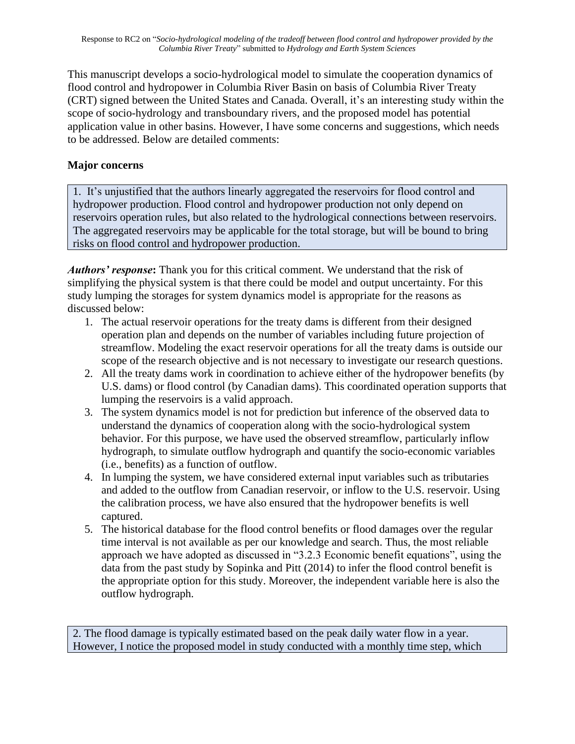This manuscript develops a socio-hydrological model to simulate the cooperation dynamics of flood control and hydropower in Columbia River Basin on basis of Columbia River Treaty (CRT) signed between the United States and Canada. Overall, it's an interesting study within the scope of socio-hydrology and transboundary rivers, and the proposed model has potential application value in other basins. However, I have some concerns and suggestions, which needs to be addressed. Below are detailed comments:

## **Major concerns**

1. It's unjustified that the authors linearly aggregated the reservoirs for flood control and hydropower production. Flood control and hydropower production not only depend on reservoirs operation rules, but also related to the hydrological connections between reservoirs. The aggregated reservoirs may be applicable for the total storage, but will be bound to bring risks on flood control and hydropower production.

*Authors' response***:** Thank you for this critical comment. We understand that the risk of simplifying the physical system is that there could be model and output uncertainty. For this study lumping the storages for system dynamics model is appropriate for the reasons as discussed below:

- 1. The actual reservoir operations for the treaty dams is different from their designed operation plan and depends on the number of variables including future projection of streamflow. Modeling the exact reservoir operations for all the treaty dams is outside our scope of the research objective and is not necessary to investigate our research questions.
- 2. All the treaty dams work in coordination to achieve either of the hydropower benefits (by U.S. dams) or flood control (by Canadian dams). This coordinated operation supports that lumping the reservoirs is a valid approach.
- 3. The system dynamics model is not for prediction but inference of the observed data to understand the dynamics of cooperation along with the socio-hydrological system behavior. For this purpose, we have used the observed streamflow, particularly inflow hydrograph, to simulate outflow hydrograph and quantify the socio-economic variables (i.e., benefits) as a function of outflow.
- 4. In lumping the system, we have considered external input variables such as tributaries and added to the outflow from Canadian reservoir, or inflow to the U.S. reservoir. Using the calibration process, we have also ensured that the hydropower benefits is well captured.
- 5. The historical database for the flood control benefits or flood damages over the regular time interval is not available as per our knowledge and search. Thus, the most reliable approach we have adopted as discussed in "3.2.3 Economic benefit equations", using the data from the past study by Sopinka and Pitt (2014) to infer the flood control benefit is the appropriate option for this study. Moreover, the independent variable here is also the outflow hydrograph.

2. The flood damage is typically estimated based on the peak daily water flow in a year. However, I notice the proposed model in study conducted with a monthly time step, which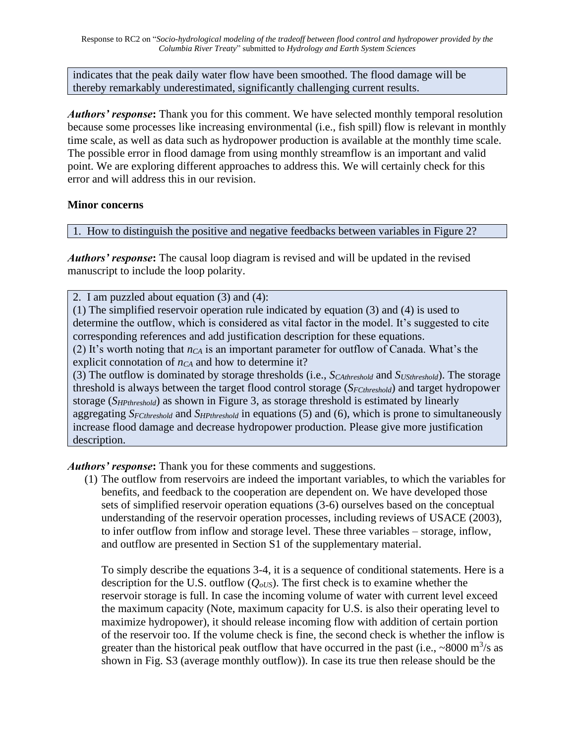indicates that the peak daily water flow have been smoothed. The flood damage will be thereby remarkably underestimated, significantly challenging current results.

*Authors' response***:** Thank you for this comment. We have selected monthly temporal resolution because some processes like increasing environmental (i.e., fish spill) flow is relevant in monthly time scale, as well as data such as hydropower production is available at the monthly time scale. The possible error in flood damage from using monthly streamflow is an important and valid point. We are exploring different approaches to address this. We will certainly check for this error and will address this in our revision.

## **Minor concerns**

1. How to distinguish the positive and negative feedbacks between variables in Figure 2?

*Authors' response***:** The causal loop diagram is revised and will be updated in the revised manuscript to include the loop polarity.

2. I am puzzled about equation (3) and (4):

(1) The simplified reservoir operation rule indicated by equation (3) and (4) is used to determine the outflow, which is considered as vital factor in the model. It's suggested to cite corresponding references and add justification description for these equations.

(2) It's worth noting that *nCA* is an important parameter for outflow of Canada. What's the explicit connotation of *nCA* and how to determine it?

(3) The outflow is dominated by storage thresholds (i.e., *SCAthreshold* and *SUSthreshold*). The storage threshold is always between the target flood control storage (*SFCthreshold*) and target hydropower storage (*SHPthreshold*) as shown in Figure 3, as storage threshold is estimated by linearly aggregating *SFCthreshold* and *SHPthreshold* in equations (5) and (6), which is prone to simultaneously increase flood damage and decrease hydropower production. Please give more justification description.

*Authors' response***:** Thank you for these comments and suggestions.

(1) The outflow from reservoirs are indeed the important variables, to which the variables for benefits, and feedback to the cooperation are dependent on. We have developed those sets of simplified reservoir operation equations (3-6) ourselves based on the conceptual understanding of the reservoir operation processes, including reviews of USACE (2003), to infer outflow from inflow and storage level. These three variables – storage, inflow, and outflow are presented in Section S1 of the supplementary material.

To simply describe the equations 3-4, it is a sequence of conditional statements. Here is a description for the U.S. outflow  $(Q_{oUS})$ . The first check is to examine whether the reservoir storage is full. In case the incoming volume of water with current level exceed the maximum capacity (Note, maximum capacity for U.S. is also their operating level to maximize hydropower), it should release incoming flow with addition of certain portion of the reservoir too. If the volume check is fine, the second check is whether the inflow is greater than the historical peak outflow that have occurred in the past (i.e.,  $\sim 8000 \text{ m}^3/\text{s}$  as shown in Fig. S3 (average monthly outflow)). In case its true then release should be the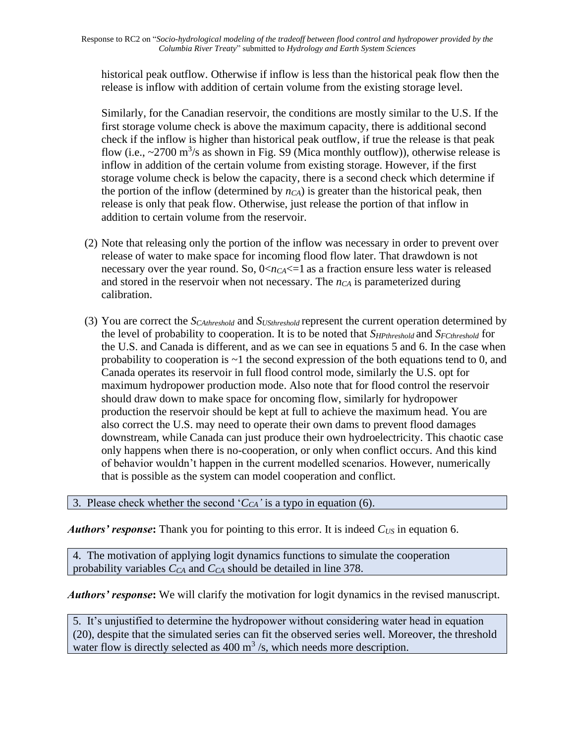historical peak outflow. Otherwise if inflow is less than the historical peak flow then the release is inflow with addition of certain volume from the existing storage level.

Similarly, for the Canadian reservoir, the conditions are mostly similar to the U.S. If the first storage volume check is above the maximum capacity, there is additional second check if the inflow is higher than historical peak outflow, if true the release is that peak flow (i.e.,  $\sim$ 2700 m<sup>3</sup>/s as shown in Fig. S9 (Mica monthly outflow)), otherwise release is inflow in addition of the certain volume from existing storage. However, if the first storage volume check is below the capacity, there is a second check which determine if the portion of the inflow (determined by  $n_{CA}$ ) is greater than the historical peak, then release is only that peak flow. Otherwise, just release the portion of that inflow in addition to certain volume from the reservoir.

- (2) Note that releasing only the portion of the inflow was necessary in order to prevent over release of water to make space for incoming flood flow later. That drawdown is not necessary over the year round. So,  $0 \le n_{C_A} \le -1$  as a fraction ensure less water is released and stored in the reservoir when not necessary. The *nCA* is parameterized during calibration.
- (3) You are correct the *SCAthreshold* and *SUSthreshold* represent the current operation determined by the level of probability to cooperation. It is to be noted that *SHPthreshold* and *SFCthreshold* for the U.S. and Canada is different, and as we can see in equations 5 and 6. In the case when probability to cooperation is  $\sim$ 1 the second expression of the both equations tend to 0, and Canada operates its reservoir in full flood control mode, similarly the U.S. opt for maximum hydropower production mode. Also note that for flood control the reservoir should draw down to make space for oncoming flow, similarly for hydropower production the reservoir should be kept at full to achieve the maximum head. You are also correct the U.S. may need to operate their own dams to prevent flood damages downstream, while Canada can just produce their own hydroelectricity. This chaotic case only happens when there is no-cooperation, or only when conflict occurs. And this kind of behavior wouldn't happen in the current modelled scenarios. However, numerically that is possible as the system can model cooperation and conflict.

3. Please check whether the second '*CCA'* is a typo in equation (6).

*Authors' response***:** Thank you for pointing to this error. It is indeed *CUS* in equation 6.

4. The motivation of applying logit dynamics functions to simulate the cooperation probability variables *CCA* and *CCA* should be detailed in line 378.

*Authors' response***:** We will clarify the motivation for logit dynamics in the revised manuscript.

5. It's unjustified to determine the hydropower without considering water head in equation (20), despite that the simulated series can fit the observed series well. Moreover, the threshold water flow is directly selected as  $400 \text{ m}^3$ /s, which needs more description.